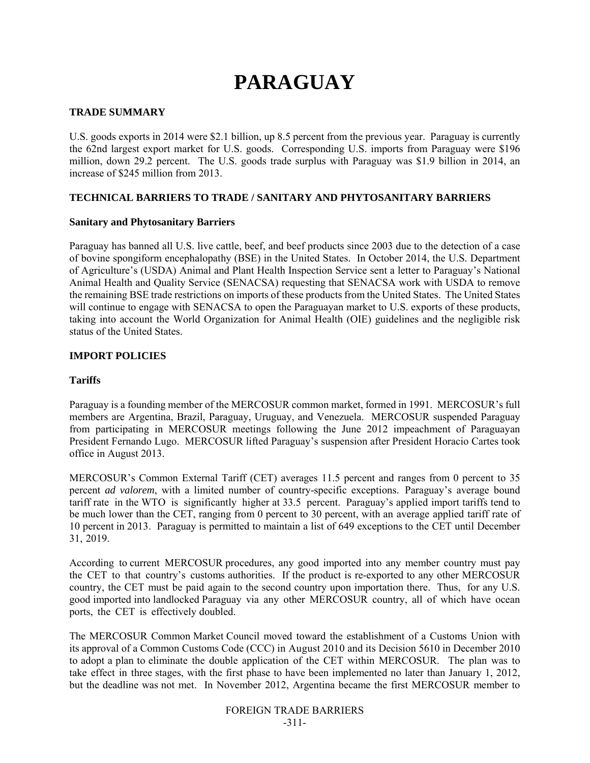# **PARAGUAY**

## **TRADE SUMMARY**

U.S. goods exports in 2014 were \$2.1 billion, up 8.5 percent from the previous year. Paraguay is currently the 62nd largest export market for U.S. goods. Corresponding U.S. imports from Paraguay were \$196 million, down 29.2 percent. The U.S. goods trade surplus with Paraguay was \$1.9 billion in 2014, an increase of \$245 million from 2013.

#### **TECHNICAL BARRIERS TO TRADE / SANITARY AND PHYTOSANITARY BARRIERS**

#### **Sanitary and Phytosanitary Barriers**

Paraguay has banned all U.S. live cattle, beef, and beef products since 2003 due to the detection of a case of bovine spongiform encephalopathy (BSE) in the United States. In October 2014, the U.S. Department of Agriculture's (USDA) Animal and Plant Health Inspection Service sent a letter to Paraguay's National Animal Health and Quality Service (SENACSA) requesting that SENACSA work with USDA to remove the remaining BSE trade restrictions on imports of these products from the United States. The United States will continue to engage with SENACSA to open the Paraguayan market to U.S. exports of these products, taking into account the World Organization for Animal Health (OIE) guidelines and the negligible risk status of the United States.

## **IMPORT POLICIES**

## **Tariffs**

Paraguay is a founding member of the MERCOSUR common market, formed in 1991. MERCOSUR's full members are Argentina, Brazil, Paraguay, Uruguay, and Venezuela. MERCOSUR suspended Paraguay from participating in MERCOSUR meetings following the June 2012 impeachment of Paraguayan President Fernando Lugo. MERCOSUR lifted Paraguay's suspension after President Horacio Cartes took office in August 2013.

MERCOSUR's Common External Tariff (CET) averages 11.5 percent and ranges from 0 percent to 35 percent *ad valorem*, with a limited number of country-specific exceptions. Paraguay's average bound tariff rate in the WTO is significantly higher at 33.5 percent. Paraguay's applied import tariffs tend to be much lower than the CET, ranging from 0 percent to 30 percent, with an average applied tariff rate of 10 percent in 2013. Paraguay is permitted to maintain a list of 649 exceptions to the CET until December 31, 2019.

According to current MERCOSUR procedures, any good imported into any member country must pay the CET to that country's customs authorities. If the product is re-exported to any other MERCOSUR country, the CET must be paid again to the second country upon importation there. Thus, for any U.S. good imported into landlocked Paraguay via any other MERCOSUR country, all of which have ocean ports, the CET is effectively doubled.

The MERCOSUR Common Market Council moved toward the establishment of a Customs Union with its approval of a Common Customs Code (CCC) in August 2010 and its Decision 5610 in December 2010 to adopt a plan to eliminate the double application of the CET within MERCOSUR. The plan was to take effect in three stages, with the first phase to have been implemented no later than January 1, 2012, but the deadline was not met. In November 2012, Argentina became the first MERCOSUR member to

> FOREIGN TRADE BARRIERS -311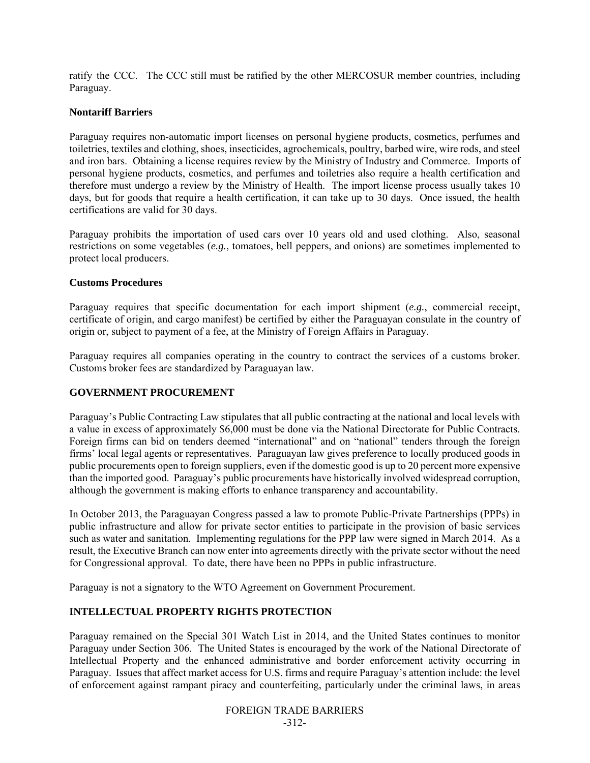ratify the CCC. The CCC still must be ratified by the other MERCOSUR member countries, including Paraguay.

#### **Nontariff Barriers**

Paraguay requires non-automatic import licenses on personal hygiene products, cosmetics, perfumes and toiletries, textiles and clothing, shoes, insecticides, agrochemicals, poultry, barbed wire, wire rods, and steel and iron bars. Obtaining a license requires review by the Ministry of Industry and Commerce. Imports of personal hygiene products, cosmetics, and perfumes and toiletries also require a health certification and therefore must undergo a review by the Ministry of Health. The import license process usually takes 10 days, but for goods that require a health certification, it can take up to 30 days. Once issued, the health certifications are valid for 30 days.

Paraguay prohibits the importation of used cars over 10 years old and used clothing. Also, seasonal restrictions on some vegetables (*e.g.*, tomatoes, bell peppers, and onions) are sometimes implemented to protect local producers.

#### **Customs Procedures**

Paraguay requires that specific documentation for each import shipment (*e.g.*, commercial receipt, certificate of origin, and cargo manifest) be certified by either the Paraguayan consulate in the country of origin or, subject to payment of a fee, at the Ministry of Foreign Affairs in Paraguay.

Paraguay requires all companies operating in the country to contract the services of a customs broker. Customs broker fees are standardized by Paraguayan law.

# **GOVERNMENT PROCUREMENT**

Paraguay's Public Contracting Law stipulates that all public contracting at the national and local levels with a value in excess of approximately \$6,000 must be done via the National Directorate for Public Contracts. Foreign firms can bid on tenders deemed "international" and on "national" tenders through the foreign firms' local legal agents or representatives. Paraguayan law gives preference to locally produced goods in public procurements open to foreign suppliers, even if the domestic good is up to 20 percent more expensive than the imported good. Paraguay's public procurements have historically involved widespread corruption, although the government is making efforts to enhance transparency and accountability.

In October 2013, the Paraguayan Congress passed a law to promote Public-Private Partnerships (PPPs) in public infrastructure and allow for private sector entities to participate in the provision of basic services such as water and sanitation. Implementing regulations for the PPP law were signed in March 2014. As a result, the Executive Branch can now enter into agreements directly with the private sector without the need for Congressional approval. To date, there have been no PPPs in public infrastructure.

Paraguay is not a signatory to the WTO Agreement on Government Procurement.

# **INTELLECTUAL PROPERTY RIGHTS PROTECTION**

Paraguay remained on the Special 301 Watch List in 2014, and the United States continues to monitor Paraguay under Section 306. The United States is encouraged by the work of the National Directorate of Intellectual Property and the enhanced administrative and border enforcement activity occurring in Paraguay. Issues that affect market access for U.S. firms and require Paraguay's attention include: the level of enforcement against rampant piracy and counterfeiting, particularly under the criminal laws, in areas